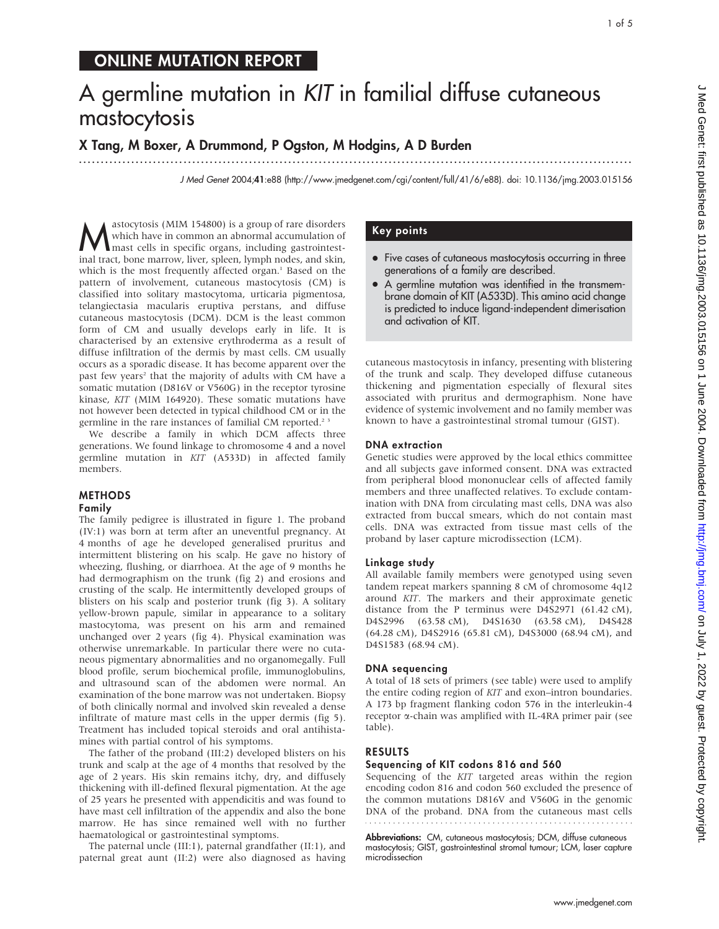# ONLINE MUTATION REPORT

# A germline mutation in KIT in familial diffuse cutaneous mastocytosis

...............................................................................................................................

# X Tang, M Boxer, A Drummond, P Ogston, M Hodgins, A D Burden

J Med Genet 2004;41:e88 (http://www.jmedgenet.com/cgi/content/full/41/6/e88). doi: 10.1136/jmg.2003.015156

Mastocytosis (MIM 154800) is a group of rare disorders<br>which have in common an abnormal accumulation of<br>mast cells in specific organs, including gastrointest-<br>including tract, bone matrow liver, spleep lymph nodes, and ski which have in common an abnormal accumulation of mast cells in specific organs, including gastrointestinal tract, bone marrow, liver, spleen, lymph nodes, and skin, which is the most frequently affected organ.<sup>1</sup> Based on the pattern of involvement, cutaneous mastocytosis (CM) is classified into solitary mastocytoma, urticaria pigmentosa, telangiectasia macularis eruptiva perstans, and diffuse cutaneous mastocytosis (DCM). DCM is the least common form of CM and usually develops early in life. It is characterised by an extensive erythroderma as a result of diffuse infiltration of the dermis by mast cells. CM usually occurs as a sporadic disease. It has become apparent over the past few years<sup>2</sup> that the majority of adults with CM have a somatic mutation (D816V or V560G) in the receptor tyrosine kinase, KIT (MIM 164920). These somatic mutations have not however been detected in typical childhood CM or in the germline in the rare instances of familial CM reported.<sup>23</sup>

We describe a family in which DCM affects three generations. We found linkage to chromosome 4 and a novel germline mutation in KIT (A533D) in affected family members.

# METHODS

# Family

The family pedigree is illustrated in figure 1. The proband (IV:1) was born at term after an uneventful pregnancy. At 4 months of age he developed generalised pruritus and intermittent blistering on his scalp. He gave no history of wheezing, flushing, or diarrhoea. At the age of 9 months he had dermographism on the trunk (fig 2) and erosions and crusting of the scalp. He intermittently developed groups of blisters on his scalp and posterior trunk (fig 3). A solitary yellow-brown papule, similar in appearance to a solitary mastocytoma, was present on his arm and remained unchanged over 2 years (fig 4). Physical examination was otherwise unremarkable. In particular there were no cutaneous pigmentary abnormalities and no organomegally. Full blood profile, serum biochemical profile, immunoglobulins, and ultrasound scan of the abdomen were normal. An examination of the bone marrow was not undertaken. Biopsy of both clinically normal and involved skin revealed a dense infiltrate of mature mast cells in the upper dermis (fig 5). Treatment has included topical steroids and oral antihistamines with partial control of his symptoms.

The father of the proband (III:2) developed blisters on his trunk and scalp at the age of 4 months that resolved by the age of 2 years. His skin remains itchy, dry, and diffusely thickening with ill-defined flexural pigmentation. At the age of 25 years he presented with appendicitis and was found to have mast cell infiltration of the appendix and also the bone marrow. He has since remained well with no further haematological or gastrointestinal symptoms.

The paternal uncle (III:1), paternal grandfather (II:1), and paternal great aunt (II:2) were also diagnosed as having

# Key points

- Five cases of cutaneous mastocytosis occurring in three generations of a family are described.
- A germline mutation was identified in the transmembrane domain of KIT (A533D). This amino acid change is predicted to induce ligand-independent dimerisation and activation of KIT.

cutaneous mastocytosis in infancy, presenting with blistering of the trunk and scalp. They developed diffuse cutaneous thickening and pigmentation especially of flexural sites associated with pruritus and dermographism. None have evidence of systemic involvement and no family member was known to have a gastrointestinal stromal tumour (GIST).

#### DNA extraction

Genetic studies were approved by the local ethics committee and all subjects gave informed consent. DNA was extracted from peripheral blood mononuclear cells of affected family members and three unaffected relatives. To exclude contamination with DNA from circulating mast cells, DNA was also extracted from buccal smears, which do not contain mast cells. DNA was extracted from tissue mast cells of the proband by laser capture microdissection (LCM).

## Linkage study

All available family members were genotyped using seven tandem repeat markers spanning 8 cM of chromosome 4q12 around KIT. The markers and their approximate genetic distance from the P terminus were D4S2971 (61.42 cM), D4S2996 (63.58 cM), D4S1630 (63.58 cM), D4S428 (64.28 cM), D4S2916 (65.81 cM), D4S3000 (68.94 cM), and D4S1583 (68.94 cM).

## DNA sequencing

A total of 18 sets of primers (see table) were used to amplify the entire coding region of KIT and exon–intron boundaries. A 173 bp fragment flanking codon 576 in the interleukin-4 receptor a-chain was amplified with IL-4RA primer pair (see table).

## RESULTS

## Sequencing of KIT codons 816 and 560

Sequencing of the KIT targeted areas within the region encoding codon 816 and codon 560 excluded the presence of the common mutations D816V and V560G in the genomic DNA of the proband. DNA from the cutaneous mast cells 

Abbreviations: CM, cutaneous mastocytosis; DCM, diffuse cutaneous mastocytosis; GIST, gastrointestinal stromal tumour; LCM, laser capture microdissection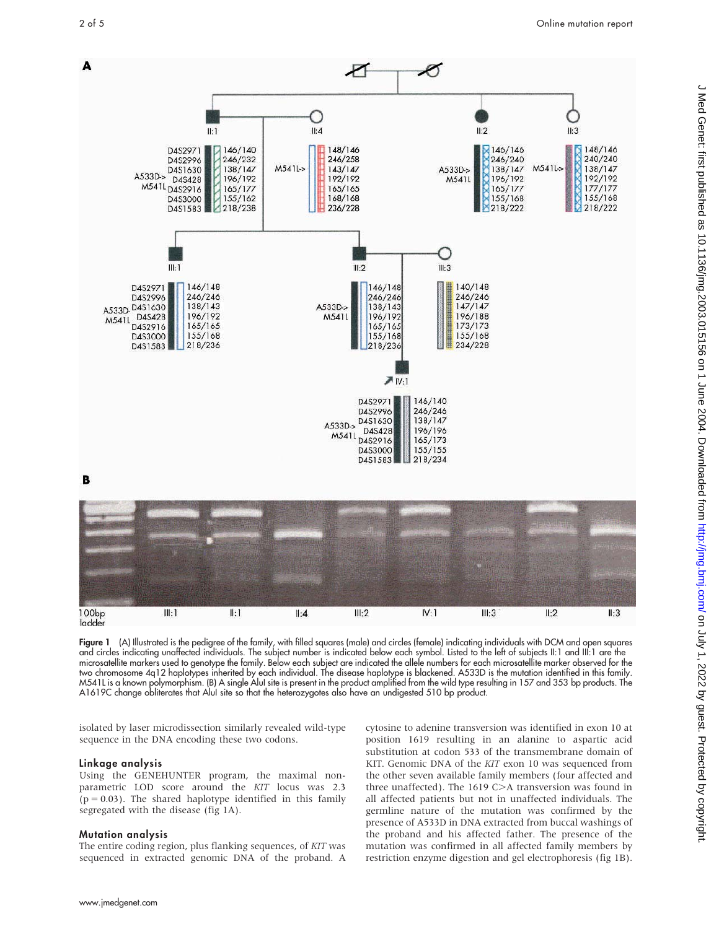

Figure 1 (A) Illustrated is the pedigree of the family, with filled squares (male) and circles (female) indicating individuals with DCM and open squares and circles indicating unaffected individuals. The subject number is indicated below each symbol. Listed to the left of subjects II:1 and III:1 are the microsatellite markers used to genotype the family. Below each subject are indicated the allele numbers for each microsatellite marker observed for the two chromosome 4q12 haplotypes inherited by each individual. The disease haplotype is blackened. A533D is the mutation identified in this family. M541L is a known polymorphism. (B) A single AluI site is present in the product amplified from the wild type resulting in 157 and 353 bp products. The A1619C change obliterates that AluI site so that the heterozygotes also have an undigested 510 bp product.

isolated by laser microdissection similarly revealed wild-type sequence in the DNA encoding these two codons.

#### Linkage analysis

ladder

Using the GENEHUNTER program, the maximal nonparametric LOD score around the KIT locus was 2.3  $(p = 0.03)$ . The shared haplotype identified in this family segregated with the disease (fig 1A).

#### Mutation analysis

The entire coding region, plus flanking sequences, of KIT was sequenced in extracted genomic DNA of the proband. A

cytosine to adenine transversion was identified in exon 10 at position 1619 resulting in an alanine to aspartic acid substitution at codon 533 of the transmembrane domain of KIT. Genomic DNA of the KIT exon 10 was sequenced from the other seven available family members (four affected and three unaffected). The 1619 C $>$ A transversion was found in all affected patients but not in unaffected individuals. The germline nature of the mutation was confirmed by the presence of A533D in DNA extracted from buccal washings of the proband and his affected father. The presence of the mutation was confirmed in all affected family members by restriction enzyme digestion and gel electrophoresis (fig 1B).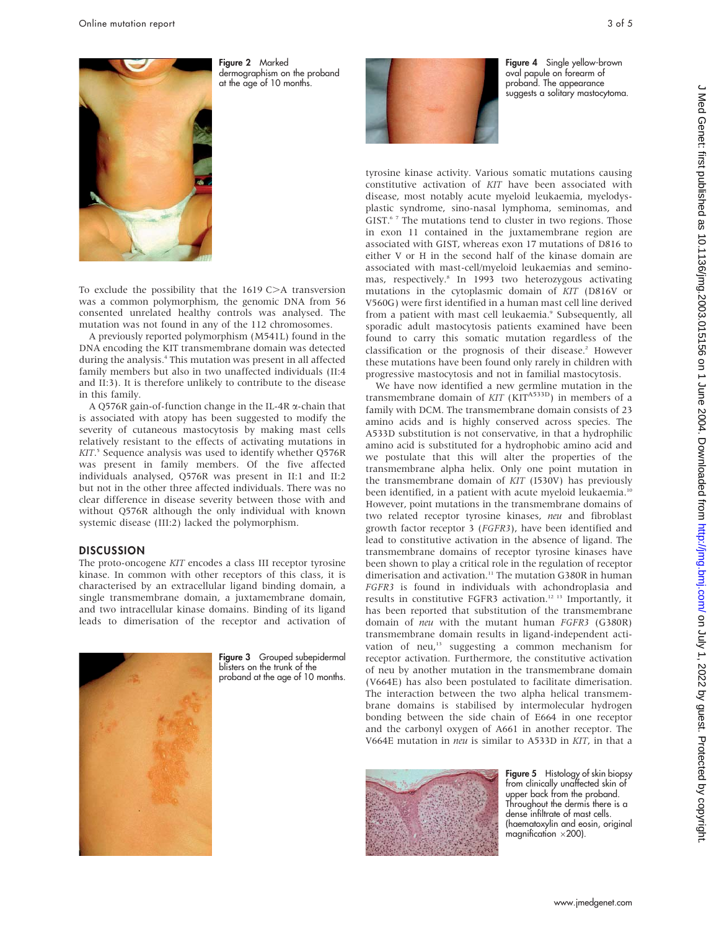

Figure 2 Marked dermographism on the proband at the age of 10 months.

To exclude the possibility that the  $1619$  C $>$ A transversion was a common polymorphism, the genomic DNA from 56 consented unrelated healthy controls was analysed. The mutation was not found in any of the 112 chromosomes.

A previously reported polymorphism (M541L) found in the DNA encoding the KIT transmembrane domain was detected during the analysis.<sup>4</sup> This mutation was present in all affected family members but also in two unaffected individuals (II:4 and II:3). It is therefore unlikely to contribute to the disease in this family.

A Q576R gain-of-function change in the IL-4R a-chain that is associated with atopy has been suggested to modify the severity of cutaneous mastocytosis by making mast cells relatively resistant to the effects of activating mutations in KIT. <sup>5</sup> Sequence analysis was used to identify whether Q576R was present in family members. Of the five affected individuals analysed, Q576R was present in II:1 and II:2 but not in the other three affected individuals. There was no clear difference in disease severity between those with and without Q576R although the only individual with known systemic disease (III:2) lacked the polymorphism.

#### **DISCUSSION**

The proto-oncogene KIT encodes a class III receptor tyrosine kinase. In common with other receptors of this class, it is characterised by an extracellular ligand binding domain, a single transmembrane domain, a juxtamembrane domain, and two intracellular kinase domains. Binding of its ligand leads to dimerisation of the receptor and activation of



Figure 3 Grouped subepidermal blisters on the trunk of the proband at the age of 10 months.



Figure 4 Single yellow-brown oval papule on forearm of proband. The appearance suggests a solitary mastocytoma.

tyrosine kinase activity. Various somatic mutations causing constitutive activation of KIT have been associated with disease, most notably acute myeloid leukaemia, myelodysplastic syndrome, sino-nasal lymphoma, seminomas, and GIST.<sup>67</sup> The mutations tend to cluster in two regions. Those in exon 11 contained in the juxtamembrane region are associated with GIST, whereas exon 17 mutations of D816 to either V or H in the second half of the kinase domain are associated with mast-cell/myeloid leukaemias and seminomas, respectively.<sup>8</sup> In 1993 two heterozygous activating mutations in the cytoplasmic domain of KIT (D816V or V560G) were first identified in a human mast cell line derived from a patient with mast cell leukaemia.<sup>9</sup> Subsequently, all sporadic adult mastocytosis patients examined have been found to carry this somatic mutation regardless of the classification or the prognosis of their disease.<sup>2</sup> However these mutations have been found only rarely in children with progressive mastocytosis and not in familial mastocytosis.

We have now identified a new germline mutation in the transmembrane domain of  $KIT$  ( $KIT^{A533D}$ ) in members of a family with DCM. The transmembrane domain consists of 23 amino acids and is highly conserved across species. The A533D substitution is not conservative, in that a hydrophilic amino acid is substituted for a hydrophobic amino acid and we postulate that this will alter the properties of the transmembrane alpha helix. Only one point mutation in the transmembrane domain of KIT (I530V) has previously been identified, in a patient with acute myeloid leukaemia.<sup>10</sup> However, point mutations in the transmembrane domains of two related receptor tyrosine kinases, neu and fibroblast growth factor receptor 3 (FGFR3), have been identified and lead to constitutive activation in the absence of ligand. The transmembrane domains of receptor tyrosine kinases have been shown to play a critical role in the regulation of receptor dimerisation and activation.<sup>11</sup> The mutation G380R in human FGFR3 is found in individuals with achondroplasia and results in constitutive FGFR3 activation.12 13 Importantly, it has been reported that substitution of the transmembrane domain of neu with the mutant human FGFR3 (G380R) transmembrane domain results in ligand-independent activation of neu,<sup>13</sup> suggesting a common mechanism for receptor activation. Furthermore, the constitutive activation of neu by another mutation in the transmembrane domain (V664E) has also been postulated to facilitate dimerisation. The interaction between the two alpha helical transmembrane domains is stabilised by intermolecular hydrogen bonding between the side chain of E664 in one receptor and the carbonyl oxygen of A661 in another receptor. The V664E mutation in neu is similar to A533D in KIT, in that a



Figure 5 Histology of skin biopsy from clinically unaffected skin of upper back from the proband. Throughout the dermis there is a dense infiltrate of mast cells. (haematoxylin and eosin, original magnification  $\times$ 200).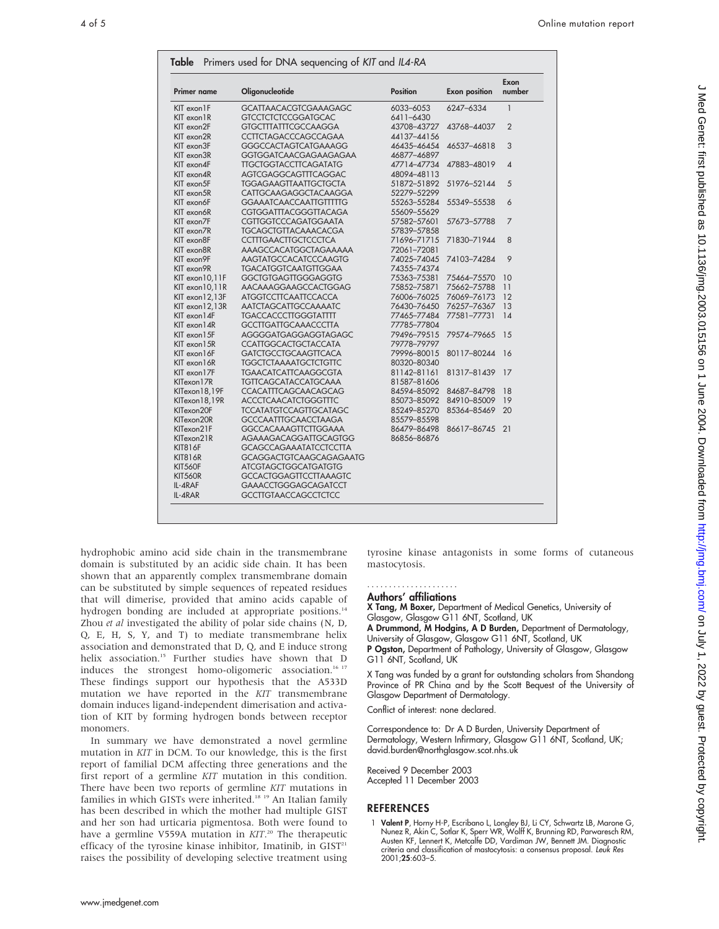| <b>Primer name</b>               | Oligonucleotide                                               | <b>Position</b>            | <b>Exon position</b> | Exon<br>number           |
|----------------------------------|---------------------------------------------------------------|----------------------------|----------------------|--------------------------|
| KIT exon 1F                      | <b>GCATTAACACGTCGAAAGAGC</b>                                  | 6033-6053                  | 6247-6334            | $\mathbf{1}$             |
| KIT exon 1R                      | <b>GTCCTCTCTCCGGATGCAC</b>                                    | 6411-6430                  |                      |                          |
| KIT exon2F                       | <b>GTGCTTTATTTCGCCAAGGA</b>                                   | 43708-43727                | 43768-44037          | $\overline{2}$           |
| KIT exon2R                       | <b>CCTTCTAGACCCAGCCAGAA</b>                                   | 44137-44156                |                      |                          |
| KIT exon3F                       | <b>GGGCCACTAGTCATGAAAGG</b>                                   | 46435-46454                | 46537-46818          | 3                        |
| KIT exon3R                       | GGTGGATCAACGAGAAGAGAA                                         | 46877-46897                |                      |                          |
| KIT exon4F                       | <b>TTGCTGGTACCTTCAGATATG</b>                                  | 47714-47734                | 47883-48019          | $\overline{\mathcal{A}}$ |
| KIT exon4R                       | AGTCGAGGCAGTTTCAGGAC                                          | 48094-48113                |                      |                          |
| KIT exon5F                       | <b>TGGAGAAGTTAATTGCTGCTA</b>                                  | 51872-51892                | 51976-52144          | 5                        |
| KIT exon5R                       | CATTGCAAGAGGCTACAAGGA                                         | 52279-52299                |                      |                          |
| KIT exon6F                       | <b>GGAAATCAACCAATTGTTTTG</b>                                  | 55263-55284                | 55349-55538          | 6                        |
| KIT exon6R                       | <b>CGTGGATTTACGGGTTACAGA</b>                                  | 55609-55629                |                      |                          |
| KIT exon7F                       | <b>CGTTGGTCCCAGATGGAATA</b>                                   | 57582-57601                | 57673-57788          | 7                        |
| KIT exon7R                       | <b>TGCAGCTGTTACAAACACGA</b>                                   | 57839-57858                |                      |                          |
| KIT exon8F                       | <b>CCTTTGAACTTGCTCCCTCA</b>                                   | 71696-71715                | 71830-71944          | 8                        |
| KIT exon8R                       | <b>AAAGCCACATGGCTAGAAAAA</b>                                  | 72061-72081                |                      |                          |
| KIT exon9F                       | AAGTATGCCACATCCCAAGTG                                         | 74025-74045                | 74103-74284          | 9                        |
| KIT exon9R                       | <b>TGACATGGTCAATGTTGGAA</b>                                   | 74355-74374                |                      |                          |
| KIT exon 10,11F                  | <b>GGCTGTGAGTTGGGAGGTG</b>                                    | 75363-75381                | 75464-75570          | 10                       |
| KIT exon 10,11R                  | AACAAAGGAAGCCACTGGAG                                          | 75852-75871                | 75662-75788          | 11                       |
| KIT exon 12,13F                  | <b>ATGGTCCTTCAATTCCACCA</b>                                   | 76006-76025                | 76069-76173          | 12                       |
| $KIT$ exon $12,13R$              | AATCTAGCATTGCCAAAATC                                          | 76430-76450                | 76257-76367          | 13                       |
| KIT exon 14F                     | <b>TGACCACCCTTGGGTATTTT</b>                                   | 77465-77484                | 77581-77731          | 14                       |
| KIT exon 14R                     | <b>GCCTTGATTGCAAACCCTTA</b>                                   | 77785-77804                |                      |                          |
| KIT exon 15F                     | AGGGGATGAGGAGGTAGAGC                                          | 79496-79515                | 79574-79665          | 15                       |
| KIT exon 15R                     | <b>CCATTGGCACTGCTACCATA</b>                                   | 79778-79797                |                      |                          |
| KIT exon 16F                     | <b>GATCTGCCTGCAAGTTCACA</b>                                   | 79996-80015                | 80117-80244          | 16                       |
| KIT exon 16R                     | <b>TGGCTCTAAAATGCTCTGTTC</b>                                  | 80320-80340                |                      | 17                       |
| KIT exon 17F                     | <b>TGAACATCATTCAAGGCGTA</b>                                   | 81142-81161                | 81317-81439          |                          |
| KITexon17R                       | <b>TGTTCAGCATACCATGCAAA</b>                                   | 81587-81606                |                      |                          |
| KITexon18,19F                    | CCACATTTCAGCAACAGCAG                                          | 84594-85092                | 84687-84798          | 18<br>19                 |
| KITexon18,19R                    | <b>ACCCTCAACATCTGGGTTTC</b>                                   | 85073-85092                | 84910-85009          | 20                       |
| KITexon20F                       | <b>TCCATATGTCCAGTTGCATAGC</b>                                 | 85249-85270<br>85579-85598 | 85364-85469          |                          |
| KITexon20R<br>KITexon21F         | <b>GCCCAATTTGCAACCTAAGA</b>                                   | 86479-86498                | 86617-86745          | 21                       |
|                                  | <b>GGCCACAAAGTTCTTGGAAA</b>                                   |                            |                      |                          |
| KITexon21R                       | AGAAAGACAGGATTGCAGTGG                                         | 86856-86876                |                      |                          |
| <b>KIT816F</b>                   | <b>GCAGCCAGAAATATCCTCCTTA</b>                                 |                            |                      |                          |
| <b>KIT816R</b><br><b>KIT560F</b> | <b>GCAGGACTGTCAAGCAGAGAATG</b><br><b>ATCGTAGCTGGCATGATGTG</b> |                            |                      |                          |
| <b>KIT560R</b>                   | <b>GCCACTGGAGTTCCTTAAAGTC</b>                                 |                            |                      |                          |
| IL-4RAF                          | <b>GAAACCTGGGAGCAGATCCT</b>                                   |                            |                      |                          |
| IL-4RAR                          | <b>GCCTTGTAACCAGCCTCTCC</b>                                   |                            |                      |                          |

hydrophobic amino acid side chain in the transmembrane domain is substituted by an acidic side chain. It has been shown that an apparently complex transmembrane domain can be substituted by simple sequences of repeated residues that will dimerise, provided that amino acids capable of hydrogen bonding are included at appropriate positions.<sup>14</sup> Zhou et al investigated the ability of polar side chains (N, D, Q, E, H, S, Y, and T) to mediate transmembrane helix association and demonstrated that D, Q, and E induce strong helix association.<sup>15</sup> Further studies have shown that D induces the strongest homo-oligomeric association.<sup>16 17</sup> These findings support our hypothesis that the A533D mutation we have reported in the KIT transmembrane domain induces ligand-independent dimerisation and activation of KIT by forming hydrogen bonds between receptor monomers.

In summary we have demonstrated a novel germline mutation in KIT in DCM. To our knowledge, this is the first report of familial DCM affecting three generations and the first report of a germline KIT mutation in this condition. There have been two reports of germline KIT mutations in families in which GISTs were inherited.<sup>18 19</sup> An Italian family has been described in which the mother had multiple GIST and her son had urticaria pigmentosa. Both were found to have a germline V559A mutation in KIT.<sup>20</sup> The therapeutic efficacy of the tyrosine kinase inhibitor, Imatinib, in GIST<sup>21</sup> raises the possibility of developing selective treatment using tyrosine kinase antagonists in some forms of cutaneous mastocytosis.

#### Authors' affiliations .....................

X Tang, M Boxer, Department of Medical Genetics, University of Glasgow, Glasgow G11 6NT, Scotland, UK

A Drummond, M Hodgins, A D Burden, Department of Dermatology, University of Glasgow, Glasgow G11 6NT, Scotland, UK

P Ogston, Department of Pathology, University of Glasgow, Glasgow G11 6NT, Scotland, UK

X Tang was funded by a grant for outstanding scholars from Shandong Province of PR China and by the Scott Bequest of the University of Glasgow Department of Dermatology.

Conflict of interest: none declared.

Correspondence to: Dr A D Burden, University Department of Dermatology, Western Infirmary, Glasgow G11 6NT, Scotland, UK; david.burden@northglasgow.scot.nhs.uk

Received 9 December 2003 Accepted 11 December 2003

#### REFERENCES

1 Valent P, Horny H-P, Escribano L, Longley BJ, Li CY, Schwartz LB, Marone G, Nunez R, Akin C, Sotlar K, Sperr WR, Wolff K, Brunning RD, Parwaresch RM, Austen KF, Lennert K, Metcalfe DD, Vardiman JW, Bennett JM. Diagnostic criteria and classification of mastocytosis: a consensus proposal. Leuk Res 2001;25:603–5.